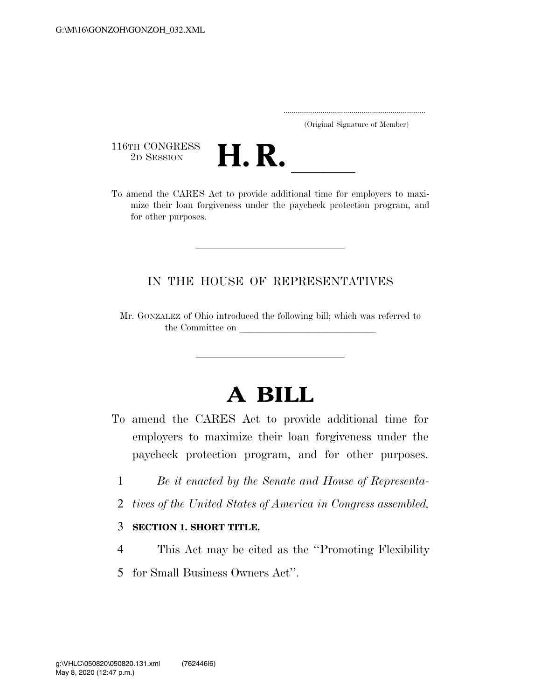..................................................................... (Original Signature of Member)

116TH CONGRESS<br>2D SESSION



116TH CONGRESS<br>
2D SESSION<br>
To amend the CARES Act to provide additional time for employers to maximize their loan forgiveness under the paycheck protection program, and for other purposes.

## IN THE HOUSE OF REPRESENTATIVES

Mr. GONZALEZ of Ohio introduced the following bill; which was referred to the Committee on

## **A BILL**

- To amend the CARES Act to provide additional time for employers to maximize their loan forgiveness under the paycheck protection program, and for other purposes.
	- 1 *Be it enacted by the Senate and House of Representa-*
	- 2 *tives of the United States of America in Congress assembled,*

## 3 **SECTION 1. SHORT TITLE.**

- 4 This Act may be cited as the ''Promoting Flexibility
- 5 for Small Business Owners Act''.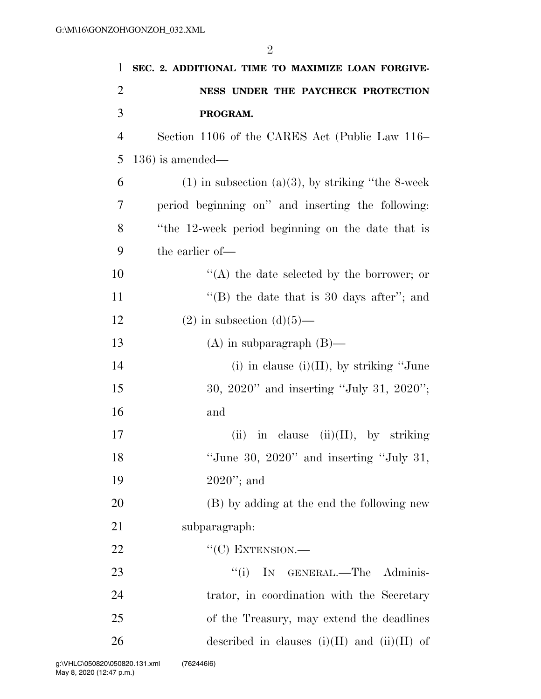| $\mathbf{1}$   | SEC. 2. ADDITIONAL TIME TO MAXIMIZE LOAN FORGIVE-      |
|----------------|--------------------------------------------------------|
| $\overline{2}$ | NESS UNDER THE PAYCHECK PROTECTION                     |
| 3              | PROGRAM.                                               |
| $\overline{4}$ | Section 1106 of the CARES Act (Public Law 116–         |
| 5              | $(136)$ is amended—                                    |
| 6              | $(1)$ in subsection $(a)(3)$ , by striking "the 8-week |
| 7              | period beginning on" and inserting the following:      |
| 8              | "the 12-week period beginning on the date that is      |
| 9              | the earlier of-                                        |
| 10             | "(A) the date selected by the borrower; or             |
| 11             | "(B) the date that is 30 days after"; and              |
| 12             | $(2)$ in subsection $(d)(5)$ —                         |
| 13             | $(A)$ in subparagraph $(B)$ —                          |
| 14             | (i) in clause (i)(II), by striking "June               |
| 15             | $30, 2020"$ and inserting "July 31, 2020";             |
| 16             | and                                                    |
| 17             | (ii) in clause (ii)(II), by striking                   |
| 18             | "June 30, $2020$ " and inserting "July 31,             |
| 19             | $2020$ "; and                                          |
| 20             | (B) by adding at the end the following new             |
| 21             | subparagraph:                                          |
| 22             | $``(C)$ EXTENSION.—                                    |
| 23             | ``(i)<br>IN GENERAL.-The Adminis-                      |
| 24             | trator, in coordination with the Secretary             |
| 25             | of the Treasury, may extend the deadlines              |
| 26             | described in clauses $(i)(II)$ and $(ii)(II)$ of       |